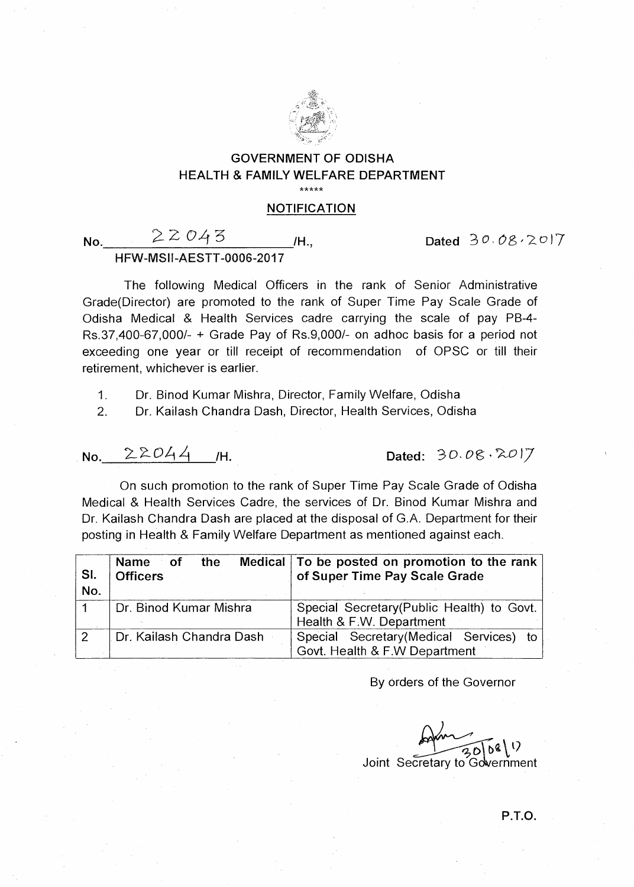

## **GOVERNMENT OF ODISHA HEALTH & FAMILY WELFARE DEPARTMENT**

\*\*\*\*\*

## **NOTIFICATION**

**No.**  $22043$  *H.*, Dated  $30.08.2017$ 

**HFW-MSII-AESTT-0006-2017** 

The following Medical Officers in the rank of Senior Administrative Grade(Director) are promoted to the rank of Super Time Pay Scale Grade of Odisha Medical & Health Services cadre carrying the scale of pay PB-4- Rs.37,400-67,000/- + Grade Pay of Rs.9,000/- on adhoc basis for a period not exceeding one year or till receipt of recommendation of OPSC or till their retirement, whichever is earlier.

1. Dr. Binod Kumar Mishra, Director, Family Welfare, Odisha

2. Dr. Kailash Chandra Dash, Director, Health Services, Odisha

**No.**  $22044$  /H. Dated:  $30.08.2017$ 

On such promotion to the rank of Super Time Pay Scale Grade of Odisha Medical & Health Services Cadre, the services of Dr. Binod Kumar Mishra and Dr. Kailash Chandra Dash are placed at the disposal of G.A. Department for their posting in Health & Family Welfare Department as mentioned against each.

| SI.<br>No.    | the<br>Name of<br><b>Officers</b> | Medical   To be posted on promotion to the rank  <br>of Super Time Pay Scale Grade |
|---------------|-----------------------------------|------------------------------------------------------------------------------------|
|               | <b>Dr. Binod Kumar Mishra</b>     | Special Secretary (Public Health) to Govt.<br>Health & F.W. Department             |
| $\mathcal{P}$ | . Dr. Kailash Chandra Dash        | Special Secretary (Medical Services) to<br>Govt. Health & F.W Department           |

By orders of the Governor

 $\frac{1}{30000}(1)$ Joint Secretary to Gdvernment